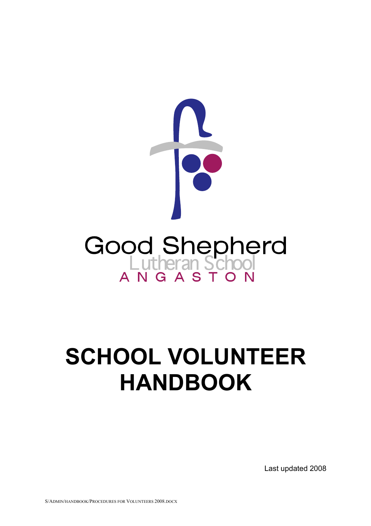

# **SCHOOL VOLUNTEER HANDBOOK**

Last updated 2008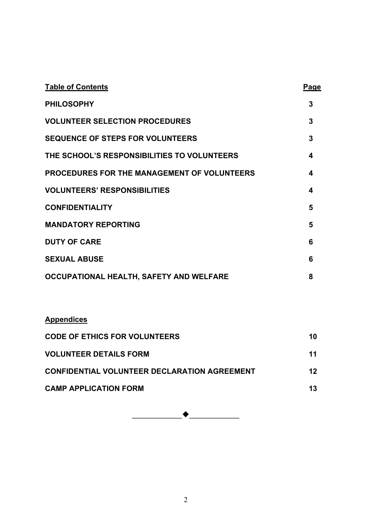| <b>Table of Contents</b>                           | Page |
|----------------------------------------------------|------|
| <b>PHILOSOPHY</b>                                  | 3    |
| <b>VOLUNTEER SELECTION PROCEDURES</b>              | 3    |
| <b>SEQUENCE OF STEPS FOR VOLUNTEERS</b>            | 3    |
| THE SCHOOL'S RESPONSIBILITIES TO VOLUNTEERS        | 4    |
| <b>PROCEDURES FOR THE MANAGEMENT OF VOLUNTEERS</b> | 4    |
| <b>VOLUNTEERS' RESPONSIBILITIES</b>                | 4    |
| <b>CONFIDENTIALITY</b>                             | 5    |
| <b>MANDATORY REPORTING</b>                         | 5    |
| <b>DUTY OF CARE</b>                                | 6    |
| <b>SEXUAL ABUSE</b>                                | 6    |
| OCCUPATIONAL HEALTH, SAFETY AND WELFARE            | 8    |

| <b>Appendices</b>                                   |         |
|-----------------------------------------------------|---------|
| <b>CODE OF ETHICS FOR VOLUNTEERS</b>                | 10      |
| <b>VOLUNTEER DETAILS FORM</b>                       | 11      |
| <b>CONFIDENTIAL VOLUNTEER DECLARATION AGREEMENT</b> | $12 \,$ |
| <b>CAMP APPLICATION FORM</b>                        | 13      |

\_\_\_\_\_\_\_\_\_\_\_\_\_\_\_\_\_\_\_\_\_\_\_\_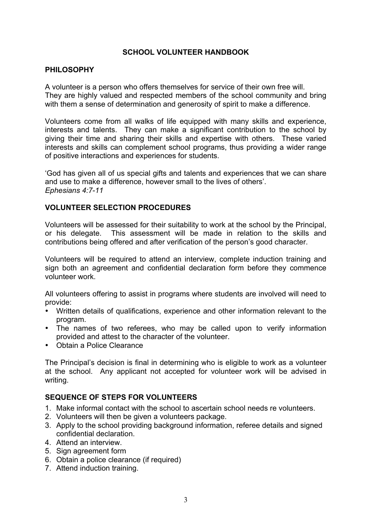## **SCHOOL VOLUNTEER HANDBOOK**

## **PHILOSOPHY**

A volunteer is a person who offers themselves for service of their own free will. They are highly valued and respected members of the school community and bring with them a sense of determination and generosity of spirit to make a difference.

Volunteers come from all walks of life equipped with many skills and experience, interests and talents. They can make a significant contribution to the school by giving their time and sharing their skills and expertise with others. These varied interests and skills can complement school programs, thus providing a wider range of positive interactions and experiences for students.

'God has given all of us special gifts and talents and experiences that we can share and use to make a difference, however small to the lives of others'. *Ephesians 4:7-11*

#### **VOLUNTEER SELECTION PROCEDURES**

Volunteers will be assessed for their suitability to work at the school by the Principal, or his delegate. This assessment will be made in relation to the skills and contributions being offered and after verification of the person's good character.

Volunteers will be required to attend an interview, complete induction training and sign both an agreement and confidential declaration form before they commence volunteer work.

All volunteers offering to assist in programs where students are involved will need to provide:

- Written details of qualifications, experience and other information relevant to the program.
- The names of two referees, who may be called upon to verify information provided and attest to the character of the volunteer.
- Obtain a Police Clearance

The Principal's decision is final in determining who is eligible to work as a volunteer at the school. Any applicant not accepted for volunteer work will be advised in writing.

#### **SEQUENCE OF STEPS FOR VOLUNTEERS**

- 1. Make informal contact with the school to ascertain school needs re volunteers.
- 2. Volunteers will then be given a volunteers package.
- 3. Apply to the school providing background information, referee details and signed confidential declaration.
- 4. Attend an interview.
- 5. Sign agreement form
- 6. Obtain a police clearance (if required)
- 7. Attend induction training.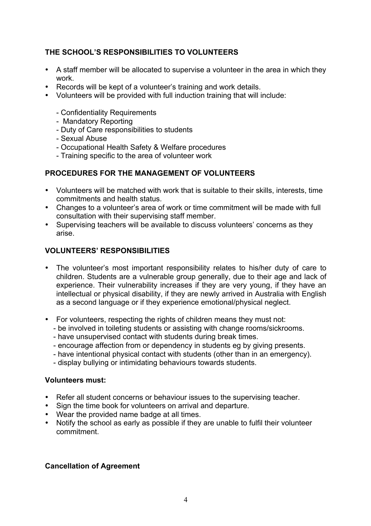## **THE SCHOOL'S RESPONSIBILITIES TO VOLUNTEERS**

- A staff member will be allocated to supervise a volunteer in the area in which they work.
- Records will be kept of a volunteer's training and work details.
- Volunteers will be provided with full induction training that will include:
	- Confidentiality Requirements
	- Mandatory Reporting
	- Duty of Care responsibilities to students
	- Sexual Abuse
	- Occupational Health Safety & Welfare procedures
	- Training specific to the area of volunteer work

## **PROCEDURES FOR THE MANAGEMENT OF VOLUNTEERS**

- Volunteers will be matched with work that is suitable to their skills, interests, time commitments and health status.
- Changes to a volunteer's area of work or time commitment will be made with full consultation with their supervising staff member.
- Supervising teachers will be available to discuss volunteers' concerns as they arise.

## **VOLUNTEERS' RESPONSIBILITIES**

- The volunteer's most important responsibility relates to his/her duty of care to children. Students are a vulnerable group generally, due to their age and lack of experience. Their vulnerability increases if they are very young, if they have an intellectual or physical disability, if they are newly arrived in Australia with English as a second language or if they experience emotional/physical neglect.
- For volunteers, respecting the rights of children means they must not:
	- be involved in toileting students or assisting with change rooms/sickrooms.
	- have unsupervised contact with students during break times.
	- encourage affection from or dependency in students eg by giving presents.
	- have intentional physical contact with students (other than in an emergency).
	- display bullying or intimidating behaviours towards students.

#### **Volunteers must:**

- Refer all student concerns or behaviour issues to the supervising teacher.
- Sign the time book for volunteers on arrival and departure.
- Wear the provided name badge at all times.
- Notify the school as early as possible if they are unable to fulfil their volunteer commitment.

## **Cancellation of Agreement**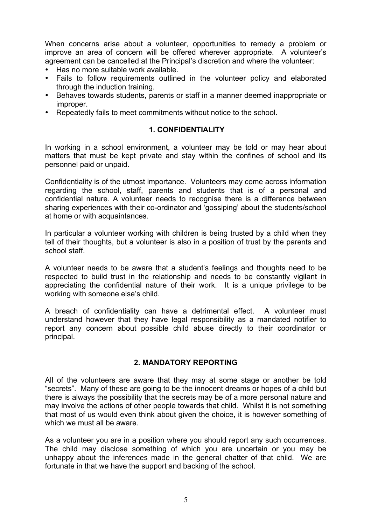When concerns arise about a volunteer, opportunities to remedy a problem or improve an area of concern will be offered wherever appropriate. A volunteer's agreement can be cancelled at the Principal's discretion and where the volunteer:

- Has no more suitable work available.
- Fails to follow requirements outlined in the volunteer policy and elaborated through the induction training.
- Behaves towards students, parents or staff in a manner deemed inappropriate or improper.
- Repeatedly fails to meet commitments without notice to the school.

#### **1. CONFIDENTIALITY**

In working in a school environment, a volunteer may be told or may hear about matters that must be kept private and stay within the confines of school and its personnel paid or unpaid.

Confidentiality is of the utmost importance. Volunteers may come across information regarding the school, staff, parents and students that is of a personal and confidential nature. A volunteer needs to recognise there is a difference between sharing experiences with their co-ordinator and 'gossiping' about the students/school at home or with acquaintances.

In particular a volunteer working with children is being trusted by a child when they tell of their thoughts, but a volunteer is also in a position of trust by the parents and school staff.

A volunteer needs to be aware that a student's feelings and thoughts need to be respected to build trust in the relationship and needs to be constantly vigilant in appreciating the confidential nature of their work. It is a unique privilege to be working with someone else's child.

A breach of confidentiality can have a detrimental effect. A volunteer must understand however that they have legal responsibility as a mandated notifier to report any concern about possible child abuse directly to their coordinator or principal.

#### **2. MANDATORY REPORTING**

All of the volunteers are aware that they may at some stage or another be told "secrets". Many of these are going to be the innocent dreams or hopes of a child but there is always the possibility that the secrets may be of a more personal nature and may involve the actions of other people towards that child. Whilst it is not something that most of us would even think about given the choice, it is however something of which we must all be aware.

As a volunteer you are in a position where you should report any such occurrences. The child may disclose something of which you are uncertain or you may be unhappy about the inferences made in the general chatter of that child. We are fortunate in that we have the support and backing of the school.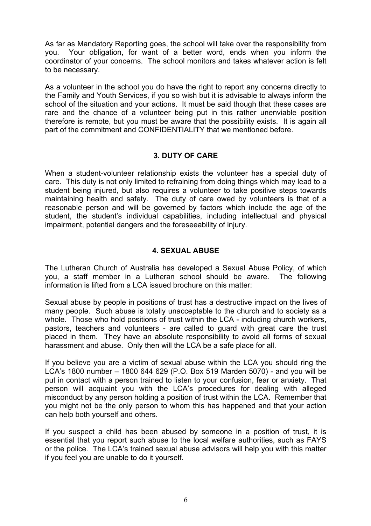As far as Mandatory Reporting goes, the school will take over the responsibility from you. Your obligation, for want of a better word, ends when you inform the coordinator of your concerns. The school monitors and takes whatever action is felt to be necessary.

As a volunteer in the school you do have the right to report any concerns directly to the Family and Youth Services, if you so wish but it is advisable to always inform the school of the situation and your actions. It must be said though that these cases are rare and the chance of a volunteer being put in this rather unenviable position therefore is remote, but you must be aware that the possibility exists. It is again all part of the commitment and CONFIDENTIALITY that we mentioned before.

#### **3. DUTY OF CARE**

When a student-volunteer relationship exists the volunteer has a special duty of care. This duty is not only limited to refraining from doing things which may lead to a student being injured, but also requires a volunteer to take positive steps towards maintaining health and safety. The duty of care owed by volunteers is that of a reasonable person and will be governed by factors which include the age of the student, the student's individual capabilities, including intellectual and physical impairment, potential dangers and the foreseeability of injury.

#### **4. SEXUAL ABUSE**

The Lutheran Church of Australia has developed a Sexual Abuse Policy, of which you, a staff member in a Lutheran school should be aware. The following information is lifted from a LCA issued brochure on this matter:

Sexual abuse by people in positions of trust has a destructive impact on the lives of many people. Such abuse is totally unacceptable to the church and to society as a whole. Those who hold positions of trust within the LCA - including church workers, pastors, teachers and volunteers - are called to guard with great care the trust placed in them. They have an absolute responsibility to avoid all forms of sexual harassment and abuse. Only then will the LCA be a safe place for all.

If you believe you are a victim of sexual abuse within the LCA you should ring the LCA's 1800 number – 1800 644 629 (P.O. Box 519 Marden 5070) - and you will be put in contact with a person trained to listen to your confusion, fear or anxiety. That person will acquaint you with the LCA's procedures for dealing with alleged misconduct by any person holding a position of trust within the LCA. Remember that you might not be the only person to whom this has happened and that your action can help both yourself and others.

If you suspect a child has been abused by someone in a position of trust, it is essential that you report such abuse to the local welfare authorities, such as FAYS or the police. The LCA's trained sexual abuse advisors will help you with this matter if you feel you are unable to do it yourself.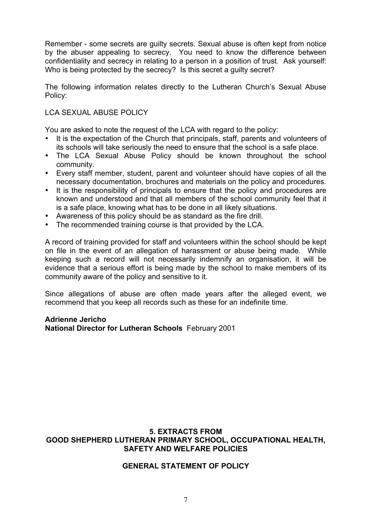Remember - some secrets are guilty secrets. Sexual abuse is often kept from notice by the abuser appealing to secrecy. You need to know the difference between confidentiality and secrecy in relating to a person in a position of trust. Ask yourself: Who is being protected by the secrecy? Is this secret a guilty secret?

The following information relates directly to the Lutheran Church's Sexual Abuse Policy:

## LCA SEXUAL ABUSE POLICY

You are asked to note the request of the LCA with regard to the policy:

- It is the expectation of the Church that principals, staff, parents and volunteers of its schools will take seriously the need to ensure that the school is a safe place.
- The LCA Sexual Abuse Policy should be known throughout the school community.
- Every staff member, student, parent and volunteer should have copies of all the necessary documentation, brochures and materials on the policy and procedures.
- It is the responsibility of principals to ensure that the policy and procedures are known and understood and that all members of the school community feel that it is a safe place, knowing what has to be done in all likely situations.
- Awareness of this policy should be as standard as the fire drill.
- The recommended training course is that provided by the LCA.

A record of training provided for staff and volunteers within the school should be kept on file in the event of an allegation of harassment or abuse being made. While keeping such a record will not necessarily indemnify an organisation, it will be evidence that a serious effort is being made by the school to make members of its community aware of the policy and sensitive to it.

Since allegations of abuse are often made years after the alleged event, we recommend that you keep all records such as these for an indefinite time.

## **Adrienne Jericho National Director for Lutheran Schools** February 2001

## **5. EXTRACTS FROM GOOD SHEPHERD LUTHERAN PRIMARY SCHOOL, OCCUPATIONAL HEALTH, SAFETY AND WELFARE POLICIES**

## **GENERAL STATEMENT OF POLICY**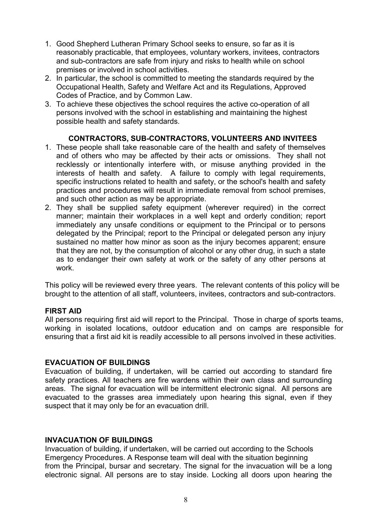- 1. Good Shepherd Lutheran Primary School seeks to ensure, so far as it is reasonably practicable, that employees, voluntary workers, invitees, contractors and sub-contractors are safe from injury and risks to health while on school premises or involved in school activities.
- 2. In particular, the school is committed to meeting the standards required by the Occupational Health, Safety and Welfare Act and its Regulations, Approved Codes of Practice, and by Common Law.
- 3. To achieve these objectives the school requires the active co-operation of all persons involved with the school in establishing and maintaining the highest possible health and safety standards.

## **CONTRACTORS, SUB-CONTRACTORS, VOLUNTEERS AND INVITEES**

- 1. These people shall take reasonable care of the health and safety of themselves and of others who may be affected by their acts or omissions. They shall not recklessly or intentionally interfere with, or misuse anything provided in the interests of health and safety. A failure to comply with legal requirements, specific instructions related to health and safety, or the school's health and safety practices and procedures will result in immediate removal from school premises, and such other action as may be appropriate.
- 2. They shall be supplied safety equipment (wherever required) in the correct manner; maintain their workplaces in a well kept and orderly condition; report immediately any unsafe conditions or equipment to the Principal or to persons delegated by the Principal; report to the Principal or delegated person any injury sustained no matter how minor as soon as the injury becomes apparent; ensure that they are not, by the consumption of alcohol or any other drug, in such a state as to endanger their own safety at work or the safety of any other persons at work.

This policy will be reviewed every three years. The relevant contents of this policy will be brought to the attention of all staff, volunteers, invitees, contractors and sub-contractors.

#### **FIRST AID**

All persons requiring first aid will report to the Principal. Those in charge of sports teams, working in isolated locations, outdoor education and on camps are responsible for ensuring that a first aid kit is readily accessible to all persons involved in these activities.

#### **EVACUATION OF BUILDINGS**

Evacuation of building, if undertaken, will be carried out according to standard fire safety practices. All teachers are fire wardens within their own class and surrounding areas. The signal for evacuation will be intermittent electronic signal. All persons are evacuated to the grasses area immediately upon hearing this signal, even if they suspect that it may only be for an evacuation drill.

#### **INVACUATION OF BUILDINGS**

Invacuation of building, if undertaken, will be carried out according to the Schools Emergency Procedures. A Response team will deal with the situation beginning from the Principal, bursar and secretary. The signal for the invacuation will be a long electronic signal. All persons are to stay inside. Locking all doors upon hearing the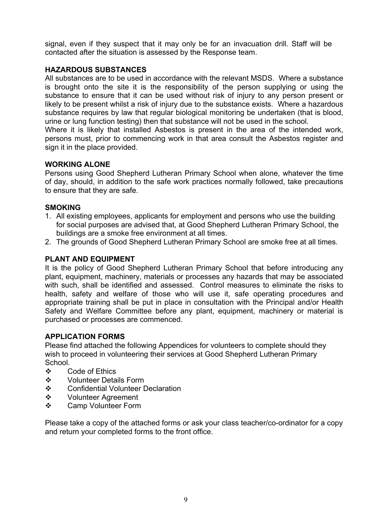signal, even if they suspect that it may only be for an invacuation drill. Staff will be contacted after the situation is assessed by the Response team.

## **HAZARDOUS SUBSTANCES**

All substances are to be used in accordance with the relevant MSDS. Where a substance is brought onto the site it is the responsibility of the person supplying or using the substance to ensure that it can be used without risk of injury to any person present or likely to be present whilst a risk of injury due to the substance exists. Where a hazardous substance requires by law that regular biological monitoring be undertaken (that is blood, urine or lung function testing) then that substance will not be used in the school.

Where it is likely that installed Asbestos is present in the area of the intended work, persons must, prior to commencing work in that area consult the Asbestos register and sign it in the place provided.

## **WORKING ALONE**

Persons using Good Shepherd Lutheran Primary School when alone, whatever the time of day, should, in addition to the safe work practices normally followed, take precautions to ensure that they are safe.

## **SMOKING**

- 1. All existing employees, applicants for employment and persons who use the building for social purposes are advised that, at Good Shepherd Lutheran Primary School, the buildings are a smoke free environment at all times.
- 2. The grounds of Good Shepherd Lutheran Primary School are smoke free at all times.

## **PLANT AND EQUIPMENT**

It is the policy of Good Shepherd Lutheran Primary School that before introducing any plant, equipment, machinery, materials or processes any hazards that may be associated with such, shall be identified and assessed. Control measures to eliminate the risks to health, safety and welfare of those who will use it, safe operating procedures and appropriate training shall be put in place in consultation with the Principal and/or Health Safety and Welfare Committee before any plant, equipment, machinery or material is purchased or processes are commenced.

## **APPLICATION FORMS**

Please find attached the following Appendices for volunteers to complete should they wish to proceed in volunteering their services at Good Shepherd Lutheran Primary School.

- ❖ Code of Ethics
- **❖** Volunteer Details Form
- ❖ Confidential Volunteer Declaration
- **❖** Volunteer Agreement
- **❖** Camp Volunteer Form

Please take a copy of the attached forms or ask your class teacher/co-ordinator for a copy and return your completed forms to the front office.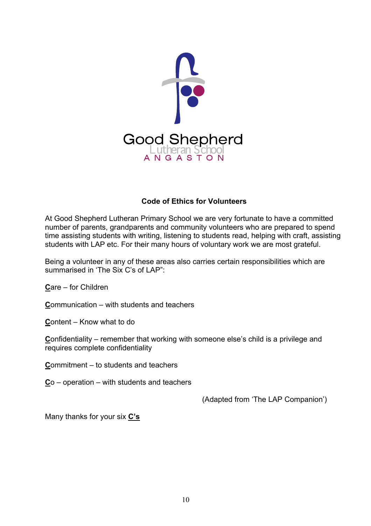

## **Code of Ethics for Volunteers**

At Good Shepherd Lutheran Primary School we are very fortunate to have a committed number of parents, grandparents and community volunteers who are prepared to spend time assisting students with writing, listening to students read, helping with craft, assisting students with LAP etc. For their many hours of voluntary work we are most grateful.

Being a volunteer in any of these areas also carries certain responsibilities which are summarised in 'The Six C's of LAP"

**C**are – for Children

**C**ommunication – with students and teachers

**C**ontent – Know what to do

**Confidentiality – remember that working with someone else's child is a privilege and** requires complete confidentiality

**C**ommitment – to students and teachers

**C**o – operation – with students and teachers

(Adapted from 'The LAP Companion')

Many thanks for your six **C's**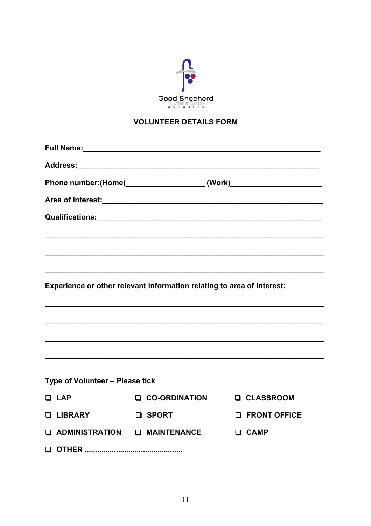

# **VOLUNTEER DETAILS FORM**

|                                       | Phone number:(Home)____________________________(Work)___________________________ |                       |  |
|---------------------------------------|----------------------------------------------------------------------------------|-----------------------|--|
|                                       |                                                                                  |                       |  |
|                                       |                                                                                  |                       |  |
|                                       |                                                                                  |                       |  |
|                                       |                                                                                  |                       |  |
|                                       |                                                                                  |                       |  |
|                                       | Experience or other relevant information relating to area of interest:           |                       |  |
|                                       |                                                                                  |                       |  |
|                                       |                                                                                  |                       |  |
|                                       |                                                                                  |                       |  |
|                                       |                                                                                  |                       |  |
|                                       |                                                                                  |                       |  |
| Type of Volunteer - Please tick       |                                                                                  |                       |  |
| $\Box$ LAP                            | <b>Q CO-ORDINATION</b>                                                           | <b>Q CLASSROOM</b>    |  |
| <b>Q LIBRARY</b>                      | <b>Q</b> SPORT                                                                   | <b>Q FRONT OFFICE</b> |  |
| <b>Q ADMINISTRATION Q MAINTENANCE</b> |                                                                                  | <b>Q</b> CAMP         |  |
|                                       |                                                                                  |                       |  |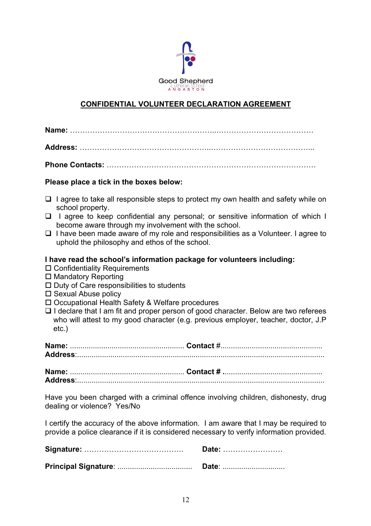

## **CONFIDENTIAL VOLUNTEER DECLARATION AGREEMENT**

| Please place a tick in the boxes below:                                                                                                                                                                                                                                                                                                                                                                                                                                               |  |  |
|---------------------------------------------------------------------------------------------------------------------------------------------------------------------------------------------------------------------------------------------------------------------------------------------------------------------------------------------------------------------------------------------------------------------------------------------------------------------------------------|--|--|
| I agree to take all responsible steps to protect my own health and safety while on<br>□<br>school property.<br>I agree to keep confidential any personal; or sensitive information of which I<br>$\Box$<br>become aware through my involvement with the school.<br>$\Box$ I have been made aware of my role and responsibilities as a Volunteer. I agree to<br>uphold the philosophy and ethos of the school.                                                                         |  |  |
| I have read the school's information package for volunteers including:<br>$\Box$ Confidentiality Requirements<br>$\Box$ Mandatory Reporting<br>$\Box$ Duty of Care responsibilities to students<br>$\square$ Sexual Abuse policy<br>□ Occupational Health Safety & Welfare procedures<br>$\Box$ I declare that I am fit and proper person of good character. Below are two referees<br>who will attest to my good character (e.g. previous employer, teacher, doctor, J.P<br>$etc.$ ) |  |  |
|                                                                                                                                                                                                                                                                                                                                                                                                                                                                                       |  |  |
|                                                                                                                                                                                                                                                                                                                                                                                                                                                                                       |  |  |
| Have you been charged with a criminal offence involving children, dishonesty, drug<br>dealing or violence? Yes/No                                                                                                                                                                                                                                                                                                                                                                     |  |  |
| I certify the accuracy of the above information. I am aware that I may be required to<br>provide a police clearance if it is considered necessary to verify information provided.                                                                                                                                                                                                                                                                                                     |  |  |
| Date:                                                                                                                                                                                                                                                                                                                                                                                                                                                                                 |  |  |
| Date:                                                                                                                                                                                                                                                                                                                                                                                                                                                                                 |  |  |